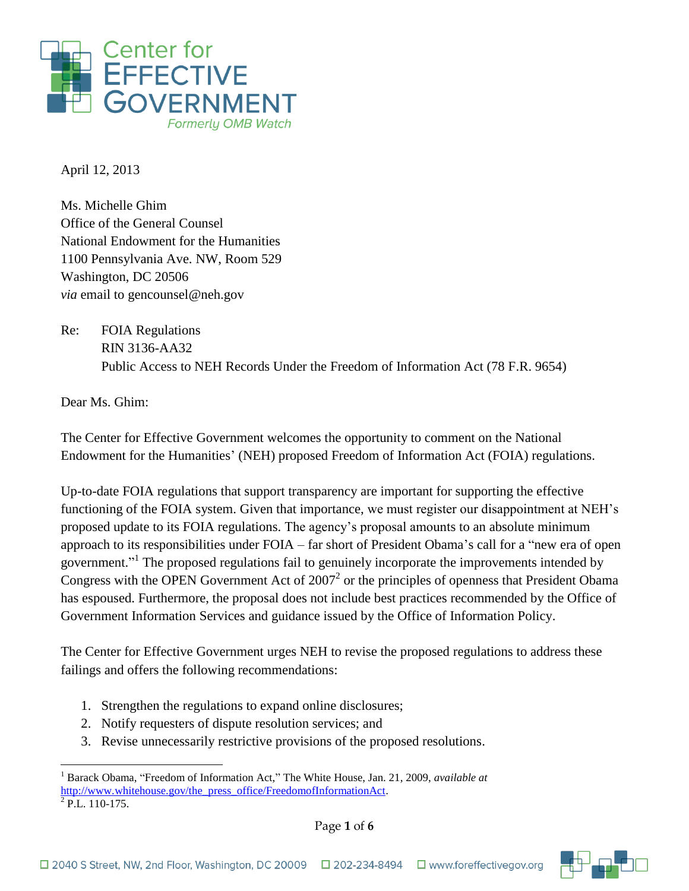

April 12, 2013

Ms. Michelle Ghim Office of the General Counsel National Endowment for the Humanities 1100 Pennsylvania Ave. NW, Room 529 Washington, DC 20506 *via* email to gencounsel@neh.gov

Re: FOIA Regulations RIN 3136-AA32 Public Access to NEH Records Under the Freedom of Information Act (78 F.R. 9654)

Dear Ms. Ghim:

The Center for Effective Government welcomes the opportunity to comment on the National Endowment for the Humanities' (NEH) proposed Freedom of Information Act (FOIA) regulations.

Up-to-date FOIA regulations that support transparency are important for supporting the effective functioning of the FOIA system. Given that importance, we must register our disappointment at NEH's proposed update to its FOIA regulations. The agency's proposal amounts to an absolute minimum approach to its responsibilities under FOIA – far short of President Obama's call for a "new era of open government."<sup>1</sup> The proposed regulations fail to genuinely incorporate the improvements intended by Congress with the OPEN Government Act of  $2007<sup>2</sup>$  or the principles of openness that President Obama has espoused. Furthermore, the proposal does not include best practices recommended by the Office of Government Information Services and guidance issued by the Office of Information Policy.

The Center for Effective Government urges NEH to revise the proposed regulations to address these failings and offers the following recommendations:

- 1. Strengthen the regulations to expand online disclosures;
- 2. Notify requesters of dispute resolution services; and
- 3. Revise unnecessarily restrictive provisions of the proposed resolutions.

 $^{2}$  P.L. 110-175.



<sup>1</sup> <sup>1</sup> Barack Obama, "Freedom of Information Act," The White House, Jan. 21, 2009, *available at*  [http://www.whitehouse.gov/the\\_press\\_office/FreedomofInformationAct.](http://www.whitehouse.gov/the_press_office/FreedomofInformationAct)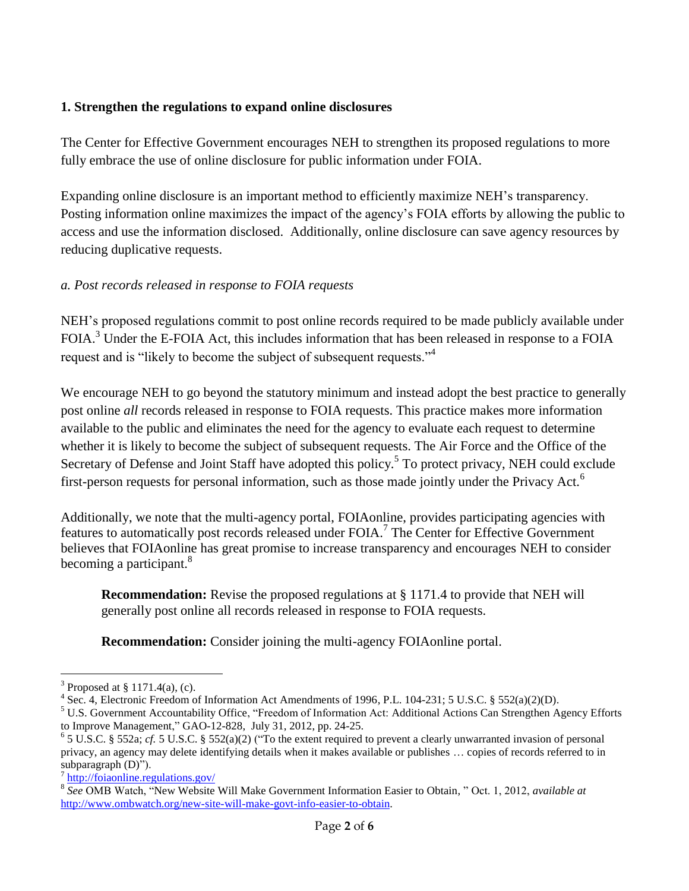## **1. Strengthen the regulations to expand online disclosures**

The Center for Effective Government encourages NEH to strengthen its proposed regulations to more fully embrace the use of online disclosure for public information under FOIA.

Expanding online disclosure is an important method to efficiently maximize NEH's transparency. Posting information online maximizes the impact of the agency's FOIA efforts by allowing the public to access and use the information disclosed. Additionally, online disclosure can save agency resources by reducing duplicative requests.

## *a. Post records released in response to FOIA requests*

NEH's proposed regulations commit to post online records required to be made publicly available under FOIA.<sup>3</sup> Under the E-FOIA Act, this includes information that has been released in response to a FOIA request and is "likely to become the subject of subsequent requests."<sup>4</sup>

We encourage NEH to go beyond the statutory minimum and instead adopt the best practice to generally post online *all* records released in response to FOIA requests. This practice makes more information available to the public and eliminates the need for the agency to evaluate each request to determine whether it is likely to become the subject of subsequent requests. The Air Force and the Office of the Secretary of Defense and Joint Staff have adopted this policy.<sup>5</sup> To protect privacy, NEH could exclude first-person requests for personal information, such as those made jointly under the Privacy Act.<sup>6</sup>

Additionally, we note that the multi-agency portal, FOIAonline, provides participating agencies with features to automatically post records released under FOIA.<sup>7</sup> The Center for Effective Government believes that FOIAonline has great promise to increase transparency and encourages NEH to consider becoming a participant.<sup>8</sup>

**Recommendation:** Revise the proposed regulations at § 1171.4 to provide that NEH will generally post online all records released in response to FOIA requests.

**Recommendation:** Consider joining the multi-agency FOIAonline portal.

<sup>1</sup> <sup>3</sup> Proposed at § 1171.4(a), (c).

<sup>&</sup>lt;sup>4</sup> Sec. 4, Electronic Freedom of Information Act Amendments of 1996, P.L. 104-231; 5 U.S.C. § 552(a)(2)(D).

<sup>&</sup>lt;sup>5</sup> U.S. Government Accountability Office, "Freedom of Information Act: Additional Actions Can Strengthen Agency Efforts to Improve Management," GAO-12-828, July 31, 2012, pp. 24-25.

 $6$  5 U.S.C. § 552a; *cf.* 5 U.S.C. § 552(a)(2) ("To the extent required to prevent a clearly unwarranted invasion of personal privacy, an agency may delete identifying details when it makes available or publishes … copies of records referred to in subparagraph (D)").

<sup>7</sup> <http://foiaonline.regulations.gov/>

<sup>8</sup> *See* OMB Watch, "New Website Will Make Government Information Easier to Obtain, " Oct. 1, 2012, *available at*  [http://www.ombwatch.org/new-site-will-make-govt-info-easier-to-obtain.](http://www.ombwatch.org/new-site-will-make-govt-info-easier-to-obtain)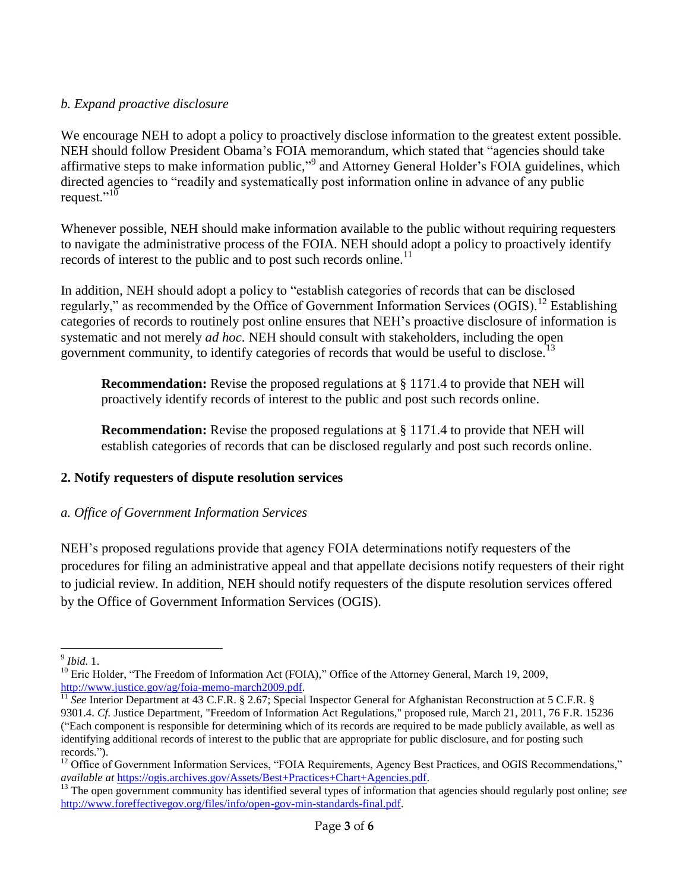## *b. Expand proactive disclosure*

We encourage NEH to adopt a policy to proactively disclose information to the greatest extent possible. NEH should follow President Obama's FOIA memorandum, which stated that "agencies should take affirmative steps to make information public,"<sup>9</sup> and Attorney General Holder's FOIA guidelines, which directed agencies to "readily and systematically post information online in advance of any public request." $^{10}$ 

Whenever possible, NEH should make information available to the public without requiring requesters to navigate the administrative process of the FOIA. NEH should adopt a policy to proactively identify records of interest to the public and to post such records online.<sup>11</sup>

In addition, NEH should adopt a policy to "establish categories of records that can be disclosed regularly," as recommended by the Office of Government Information Services (OGIS).<sup>12</sup> Establishing categories of records to routinely post online ensures that NEH's proactive disclosure of information is systematic and not merely *ad hoc*. NEH should consult with stakeholders, including the open government community, to identify categories of records that would be useful to disclose.<sup>13</sup>

**Recommendation:** Revise the proposed regulations at § 1171.4 to provide that NEH will proactively identify records of interest to the public and post such records online.

**Recommendation:** Revise the proposed regulations at § 1171.4 to provide that NEH will establish categories of records that can be disclosed regularly and post such records online.

# **2. Notify requesters of dispute resolution services**

# *a. Office of Government Information Services*

NEH's proposed regulations provide that agency FOIA determinations notify requesters of the procedures for filing an administrative appeal and that appellate decisions notify requesters of their right to judicial review. In addition, NEH should notify requesters of the dispute resolution services offered by the Office of Government Information Services (OGIS).

 9 *Ibid.* 1.

<sup>&</sup>lt;sup>10</sup> Eric Holder, "The Freedom of Information Act (FOIA)," Office of the Attorney General, March 19, 2009, [http://www.justice.gov/ag/foia-memo-march2009.pdf.](http://www.justice.gov/ag/foia-memo-march2009.pdf)

<sup>&</sup>lt;sup>11</sup> See Interior Department at 43 C.F.R. § 2.67; Special Inspector General for Afghanistan Reconstruction at 5 C.F.R. § 9301.4. *Cf.* Justice Department, "Freedom of Information Act Regulations," proposed rule, March 21, 2011, 76 F.R. 15236 ("Each component is responsible for determining which of its records are required to be made publicly available, as well as identifying additional records of interest to the public that are appropriate for public disclosure, and for posting such records.").

 $12$  Office of Government Information Services, "FOIA Requirements, Agency Best Practices, and OGIS Recommendations," *available at* [https://ogis.archives.gov/Assets/Best+Practices+Chart+Agencies.pdf.](https://ogis.archives.gov/Assets/Best+Practices+Chart+Agencies.pdf)

<sup>&</sup>lt;sup>13</sup> The open government community has identified several types of information that agencies should regularly post online; *see* [http://www.foreffectivegov.org/files/info/open-gov-min-standards-final.pdf.](http://www.foreffectivegov.org/files/info/open-gov-min-standards-final.pdf)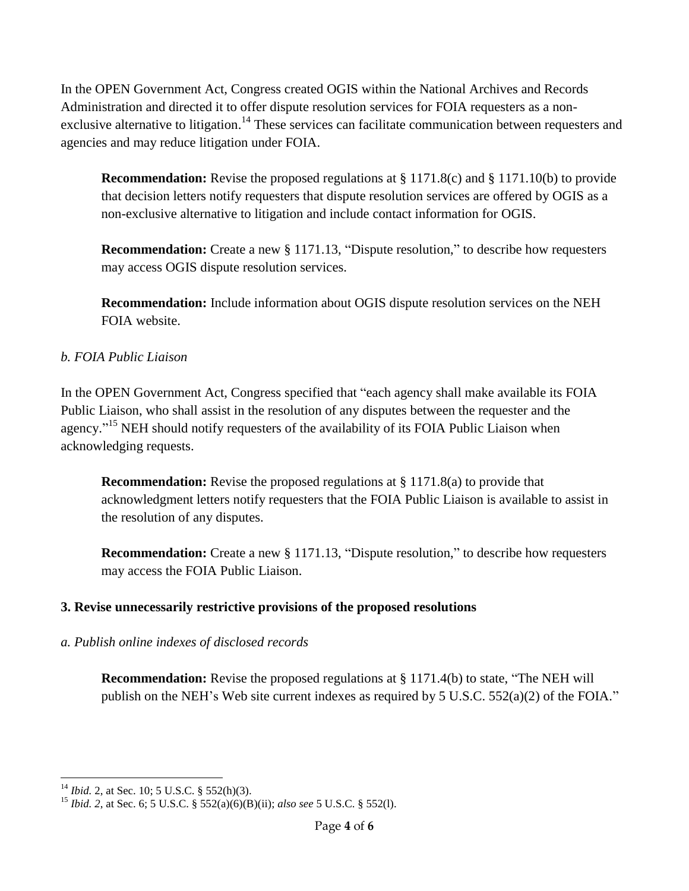In the OPEN Government Act, Congress created OGIS within the National Archives and Records Administration and directed it to offer dispute resolution services for FOIA requesters as a nonexclusive alternative to litigation.<sup>14</sup> These services can facilitate communication between requesters and agencies and may reduce litigation under FOIA.

**Recommendation:** Revise the proposed regulations at § 1171.8(c) and § 1171.10(b) to provide that decision letters notify requesters that dispute resolution services are offered by OGIS as a non-exclusive alternative to litigation and include contact information for OGIS.

**Recommendation:** Create a new § 1171.13, "Dispute resolution," to describe how requesters may access OGIS dispute resolution services.

**Recommendation:** Include information about OGIS dispute resolution services on the NEH FOIA website.

# *b. FOIA Public Liaison*

In the OPEN Government Act, Congress specified that "each agency shall make available its FOIA Public Liaison, who shall assist in the resolution of any disputes between the requester and the agency."<sup>15</sup> NEH should notify requesters of the availability of its FOIA Public Liaison when acknowledging requests.

**Recommendation:** Revise the proposed regulations at § 1171.8(a) to provide that acknowledgment letters notify requesters that the FOIA Public Liaison is available to assist in the resolution of any disputes.

**Recommendation:** Create a new § 1171.13, "Dispute resolution," to describe how requesters may access the FOIA Public Liaison.

### **3. Revise unnecessarily restrictive provisions of the proposed resolutions**

### *a. Publish online indexes of disclosed records*

**Recommendation:** Revise the proposed regulations at § 1171.4(b) to state, "The NEH will publish on the NEH's Web site current indexes as required by 5 U.S.C. 552(a)(2) of the FOIA."

 $\overline{a}$ <sup>14</sup> *Ibid.* 2, at Sec. 10; 5 U.S.C. § 552(h)(3).

<sup>15</sup> *Ibid. 2*, at Sec. 6; 5 U.S.C. § 552(a)(6)(B)(ii); *also see* 5 U.S.C. § 552(l).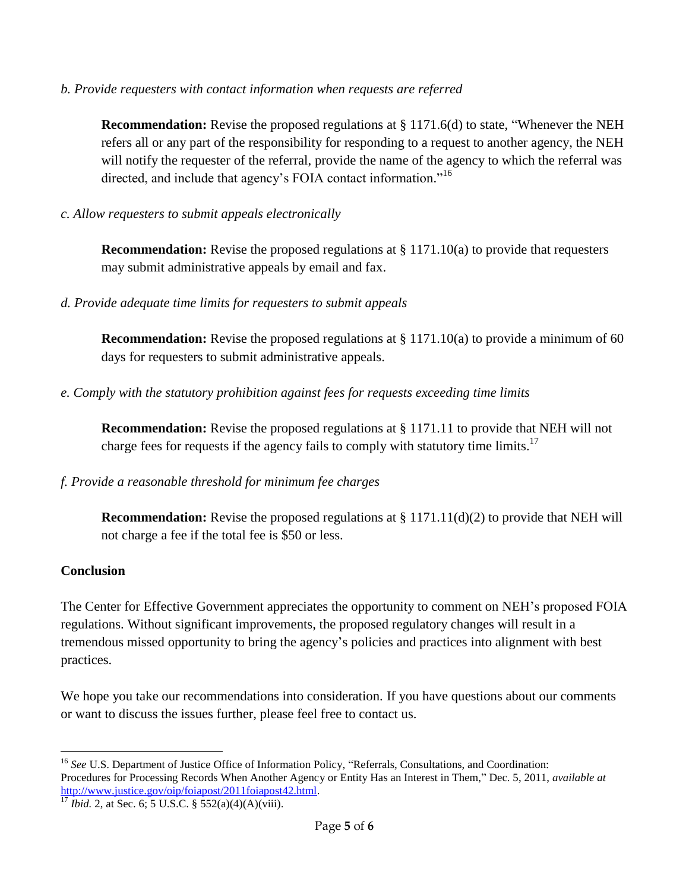*b. Provide requesters with contact information when requests are referred*

**Recommendation:** Revise the proposed regulations at § 1171.6(d) to state, "Whenever the NEH refers all or any part of the responsibility for responding to a request to another agency, the NEH will notify the requester of the referral, provide the name of the agency to which the referral was directed, and include that agency's FOIA contact information."<sup>16</sup>

*c. Allow requesters to submit appeals electronically*

**Recommendation:** Revise the proposed regulations at § 1171.10(a) to provide that requesters may submit administrative appeals by email and fax.

*d. Provide adequate time limits for requesters to submit appeals*

**Recommendation:** Revise the proposed regulations at § 1171.10(a) to provide a minimum of 60 days for requesters to submit administrative appeals.

*e. Comply with the statutory prohibition against fees for requests exceeding time limits*

**Recommendation:** Revise the proposed regulations at § 1171.11 to provide that NEH will not charge fees for requests if the agency fails to comply with statutory time limits.<sup>17</sup>

#### *f. Provide a reasonable threshold for minimum fee charges*

**Recommendation:** Revise the proposed regulations at § 1171.11(d)(2) to provide that NEH will not charge a fee if the total fee is \$50 or less.

#### **Conclusion**

The Center for Effective Government appreciates the opportunity to comment on NEH's proposed FOIA regulations. Without significant improvements, the proposed regulatory changes will result in a tremendous missed opportunity to bring the agency's policies and practices into alignment with best practices.

We hope you take our recommendations into consideration. If you have questions about our comments or want to discuss the issues further, please feel free to contact us.

<sup>1</sup> <sup>16</sup> See U.S. Department of Justice Office of Information Policy, "Referrals, Consultations, and Coordination: Procedures for Processing Records When Another Agency or Entity Has an Interest in Them," Dec. 5, 2011, *available at* [http://www.justice.gov/oip/foiapost/2011foiapost42.html.](http://www.justice.gov/oip/foiapost/2011foiapost42.html)

 $17$  *Ibid.* 2, at Sec. 6; 5 U.S.C. § 552(a)(4)(A)(viii).